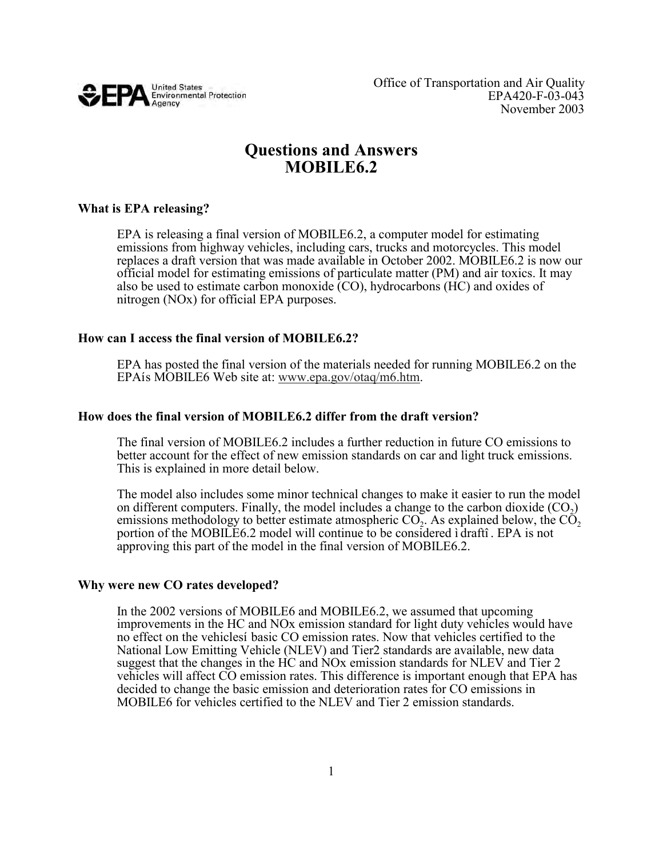

# **Questions and Answers MOBILE6.2**

## **What is EPA releasing?**

 EPA is releasing a final version of MOBILE6.2, a computer model for estimating emissions from highway vehicles, including cars, trucks and motorcycles. This model replaces a draft version that was made available in October 2002. MOBILE6.2 is now our official model for estimating emissions of particulate matter (PM) and air toxics. It may also be used to estimate carbon monoxide (CO), hydrocarbons (HC) and oxides of nitrogen (NOx) for official EPA purposes.

### **How can I access the final version of MOBILE6.2?**

EPA has posted the final version of the materials needed for running MOBILE6.2 on the EPA is MOBILE6 Web site at: www.epa.gov/otaq/m6.htm. EPAís MOBILE6 Web site at: www.epa.gov/otaq/m6.htm.

## **How does the final version of MOBILE6.2 differ from the draft version?**

 The final version of MOBILE6.2 includes a further reduction in future CO emissions to better account for the effect of new emission standards on car and light truck emissions. This is explained in more detail below.

 The model also includes some minor technical changes to make it easier to run the model on different computers. Finally, the model includes a change to the carbon dioxide  $(CO_2)$ emissions methodology to better estimate atmospheric  $CO<sub>2</sub>$ . As explained below, the  $CO<sub>2</sub>$  portion of the MOBILE6.2 model will continue to be considered ì draftî . EPA is not approving this part of the model in the final version of MOBILE6.2.

## **Why were new CO rates developed?**

 In the 2002 versions of MOBILE6 and MOBILE6.2, we assumed that upcoming improvements in the HC and NOx emission standard for light duty vehicles would have no effect on the vehiclesí basic CO emission rates. Now that vehicles certified to the National Low Emitting Vehicle (NLEV) and Tier2 standards are available, new data suggest that the changes in the HC and NOx emission standards for NLEV and Tier 2 vehicles will affect CO emission rates. This difference is important enough that EPA has decided to change the basic emission and deterioration rates for CO emissions in MOBILE6 for vehicles certified to the NLEV and Tier 2 emission standards.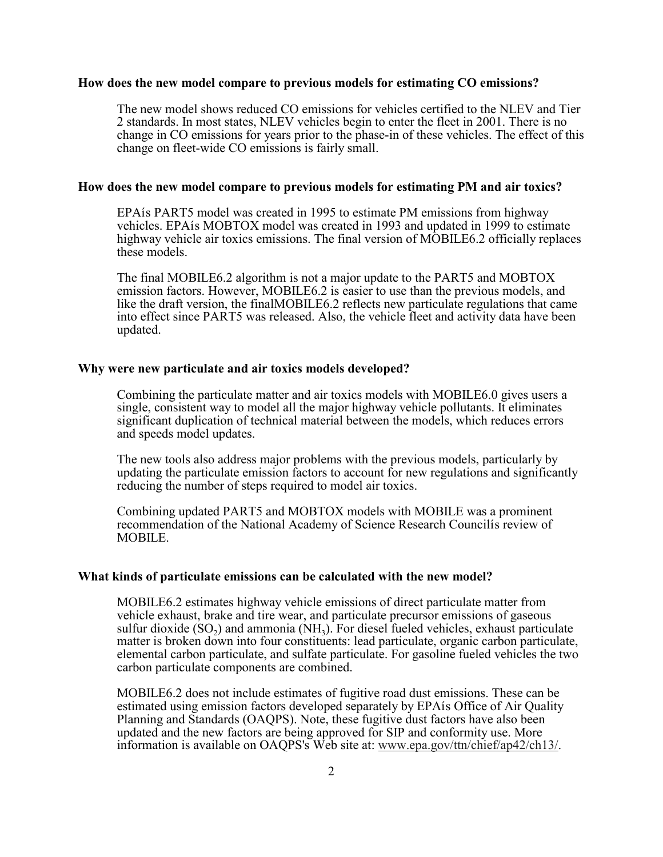#### **How does the new model compare to previous models for estimating CO emissions?**

 The new model shows reduced CO emissions for vehicles certified to the NLEV and Tier 2 standards. In most states, NLEV vehicles begin to enter the fleet in 2001. There is no change in CO emissions for years prior to the phase-in of these vehicles. The effect of this change on fleet-wide CO emissions is fairly small. 2 standards. In most states, NLEV vehicles begin to enter the fleet in 2001. There is no

#### **How does the new model compare to previous models for estimating PM and air toxics?**

 EPAís PART5 model was created in 1995 to estimate PM emissions from highway vehicles. EPAís MOBTOX model was created in 1993 and updated in 1999 to estimate highway vehicle air toxics emissions. The final version of MOBILE6.2 officially replaces these models.

Final MOBILE6.2 algorithm is not a major update to the PART5 and MOBTOX ssion factors. However, MOBILE6.2 is easier to use than the previous models, a the draft version, the final MOBILE6.2 reflects new particulate regulat The final MOBILE6.2 algorithm is not a major update to the PART5 and MOBTOX emission factors. However, MOBILE6.2 is easier to use than the previous models, and like the draft version, the finalMOBILE6.2 reflects new particulate regulations that came into effect since PART5 was released. Also, the vehicle fleet and activity data have been updated.

#### **Why were new particulate and air toxics models developed?**

mbining the particulate matter and air toxics models with MOBILE6.0 gives users<br>gle, consistent way to model all the major highway vehicle pollutants. It eliminates<br>inficant duplication of technical material between the mo Combining the particulate matter and air toxics models with MOBILE6.0 gives users a single, consistent way to model all the major highway vehicle pollutants. It eliminates significant duplication of technical material between the models, which reduces errors and speeds model updates.

 The new tools also address major problems with the previous models, particularly by updating the particulate emission factors to account for new regulations and significantly reducing the number of steps required to model air toxics.

 Combining updated PART5 and MOBTOX models with MOBILE was a prominent recommendation of the National Academy of Science Research Councilís review of MOBILE.

#### **What kinds of particulate emissions can be calculated with the new model?**

 MOBILE6.2 estimates highway vehicle emissions of direct particulate matter from vehicle exhaust, brake and tire wear, and particulate precursor emissions of gaseous sulfur dioxide  $(SO_2)$  and ammonia  $(NH_3)$ . For diesel fueled vehicles, exhaust particulate matter is broken down into four constituents: lead particulate, organic carbon particulate, elemental carbon particulate, and sulfate particulate. For gasoline fueled vehicles the two carbon particulate components are combined.

MOBILE6.2 does not include estimates of fugitive road dust emissions. These can be estimated using emission factors developed separately by EPA is Office of Air Quality Planning and Standards (OAQPS). Note, these fugitive dust factors have also been updated and the new factors are being approved for SIP and conformity use. More<br>information is available on OAQPS's Web site at: www.epa.gov/ttn/chief/ap42/ch estimated using emission factors developed separately by EPAís Office of Air Quality information is available on OAQPS's Web site at: www.epa.gov/ttn/chief/ap42/ch13/.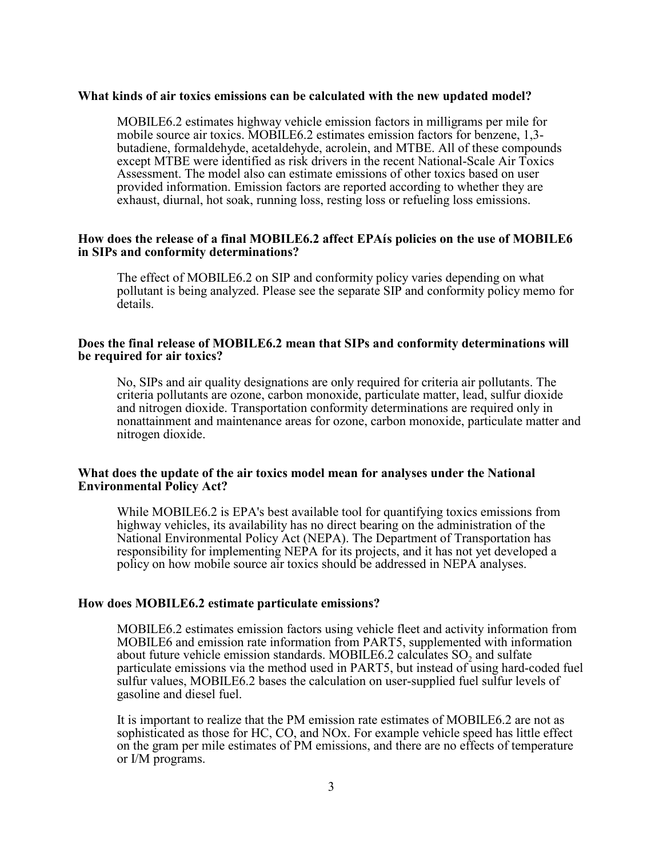#### **What kinds of air toxics emissions can be calculated with the new updated model?**

mobile source air toxics. MOBILE6.2 estimates emission factors for benzene, 1,3ene, formaldehyde, acetaldehyde, acrolein, and MTBE. All of these comp<br>MTBE were identified as risk drivers in the recent National-Scale Air T<br>ment. The model also can estimate emissions of other toxics based on us<br>ed info exhaust, diurnal, hot soak, running loss, resting loss or refueling loss emissions. MOBILE6.2 estimates highway vehicle emission factors in milligrams per mile for mobile source air toxics. MOBILE6.2 estimates emission factors for benzene, 1,3- butadiene, formaldehyde, acetaldehyde, acrolein, and MTBE. All of these compounds except MTBE were identified as risk drivers in the recent National-Scale Air Toxics Assessment. The model also can estimate emissions of other toxics based on user provided information. Emission factors are reported according to whether they are

#### How does the release of a final MOBILE6.2 affect EPAís policies on the use of MOBILE6  **in SIPs and conformity determinations?**

 The effect of MOBILE6.2 on SIP and conformity policy varies depending on what pollutant is being analyzed. Please see the separate SIP and conformity policy memo for details.

#### Does the final release of MOBILE6.2 mean that SIPs and conformity determinations will<br>be required for air toxics? **be required for air toxics?**

SIPs and air quality designations are only required for criteria air pollutants. The<br>eria pollutants are ozone, carbon monoxide, particulate matter, lead, sulfur dioxide<br>nitrogen dioxide. Transportation conformity determin No, SIPs and air quality designations are only required for criteria air pollutants. The criteria pollutants are ozone, carbon monoxide, particulate matter, lead, sulfur dioxide and nitrogen dioxide. Transportation conformity determinations are required only in nonattainment and maintenance areas for ozone, carbon monoxide, particulate matter and nitrogen dioxide.

#### What does the update of the air toxics model mean for analyses under the National<br>Environmental Policy Act? **Environmental Policy Act?**

 While MOBILE6.2 is EPA's best available tool for quantifying toxics emissions from highway vehicles, its availability has no direct bearing on the administration of the National Environmental Policy Act (NEPA). The Department of Transportation has responsibility for implementing NEPA for its projects, and it has not yet developed a policy on how mobile source air toxics should be addressed in NEPA analyses.

#### **How does MOBILE6.2 estimate particulate emissions?**

 MOBILE6.2 estimates emission factors using vehicle fleet and activity information from MOBILE6 and emission rate information from PART5, supplemented with info about future vehicle emission standards. MOBILE6.2 calculates  $SO_2$  and sulfate particulate emissions via the method used in PART5, but instead of using hard-coded fuel sulfur values, MOBILE6.2 bases the calculation on user-supplied fuel sulfur levels of gasoline and diesel fuel. MOBILE6 and emission rate information from PART5, supplemented with information

 It is important to realize that the PM emission rate estimates of MOBILE6.2 are not as sophisticated as those for HC, CO, and NOx. For example vehicle speed has little effect on the gram per mile estimates of PM emissions, and there are no effects of temperature or I/M programs.